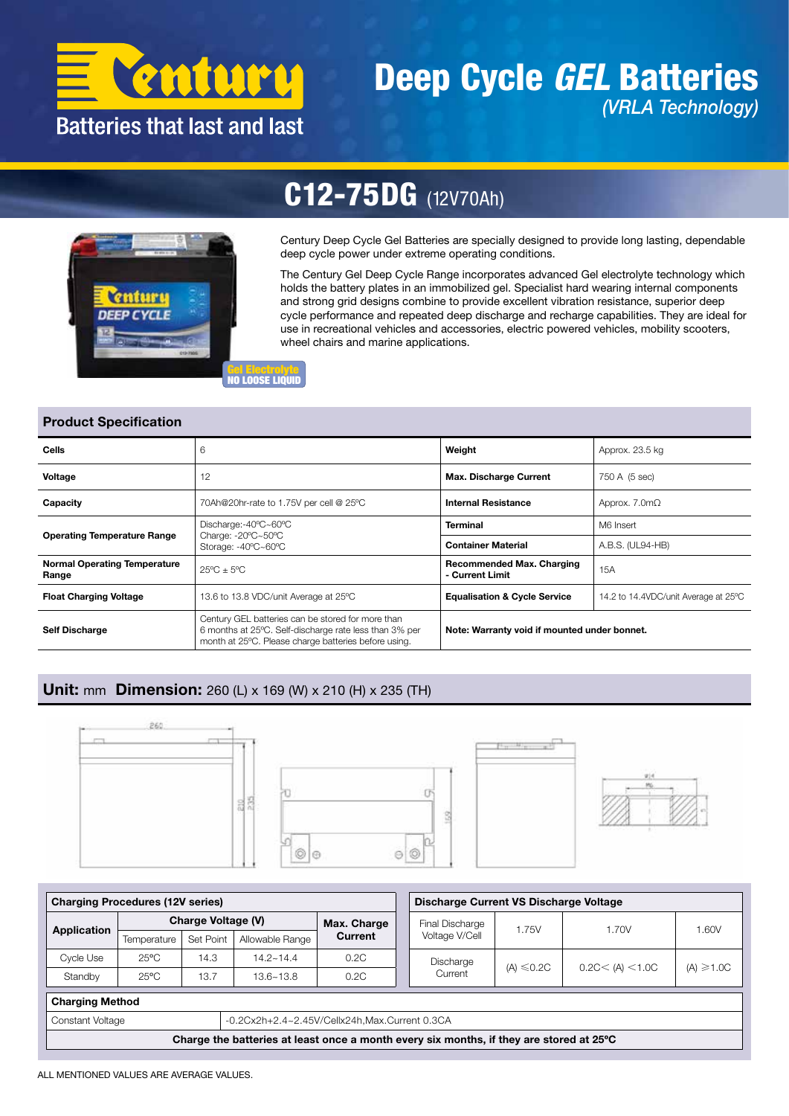

## Deep Cycle *GEL* Batteries *(VRLA Technology)*



# C12-75DG (12V70Ah)

Century Deep Cycle Gel Batteries are specially designed to provide long lasting, dependable deep cycle power under extreme operating conditions.

The Century Gel Deep Cycle Range incorporates advanced Gel electrolyte technology which holds the battery plates in an immobilized gel. Specialist hard wearing internal components and strong grid designs combine to provide excellent vibration resistance, superior deep cycle performance and repeated deep discharge and recharge capabilities. They are ideal for use in recreational vehicles and accessories, electric powered vehicles, mobility scooters, wheel chairs and marine applications.

Gel Electrolyte NO LOOSE LIQUID

### Product Specification

| Cells                                        | 6                                                                                                                                                                   | Weight                                       | Approx. 23.5 kg                      |  |  |
|----------------------------------------------|---------------------------------------------------------------------------------------------------------------------------------------------------------------------|----------------------------------------------|--------------------------------------|--|--|
| Voltage                                      | 12                                                                                                                                                                  | <b>Max. Discharge Current</b>                | 750 A (5 sec)                        |  |  |
| Capacity                                     | 70Ah@20hr-rate to 1.75V per cell @ 25°C                                                                                                                             | <b>Internal Resistance</b>                   | Approx. $7.0m\Omega$                 |  |  |
|                                              | Discharge:-40°C~60°C                                                                                                                                                | <b>Terminal</b>                              | M6 Insert                            |  |  |
| <b>Operating Temperature Range</b>           | Charge: $-20^{\circ}$ C $-50^{\circ}$ C<br>Storage: -40°C~60°C                                                                                                      | <b>Container Material</b>                    | A.B.S. (UL94-HB)                     |  |  |
| <b>Normal Operating Temperature</b><br>Range | $25^{\circ}$ C + $5^{\circ}$ C                                                                                                                                      |                                              | 15A                                  |  |  |
| <b>Float Charging Voltage</b>                | 13.6 to 13.8 VDC/unit Average at 25°C                                                                                                                               | <b>Equalisation &amp; Cycle Service</b>      | 14.2 to 14.4VDC/unit Average at 25°C |  |  |
| <b>Self Discharge</b>                        | Century GEL batteries can be stored for more than<br>6 months at 25°C. Self-discharge rate less than 3% per<br>month at 25°C. Please charge batteries before using. | Note: Warranty void if mounted under bonnet. |                                      |  |  |

## Unit: mm Dimension: 260 (L) x 169 (W) x 210 (H) x 235 (TH)



| <b>Charging Procedures (12V series)</b>                                                 |                    |           |                 |              |  | Discharge Current VS Discharge Voltage |                      |                   |                 |  |  |  |
|-----------------------------------------------------------------------------------------|--------------------|-----------|-----------------|--------------|--|----------------------------------------|----------------------|-------------------|-----------------|--|--|--|
| Application                                                                             | Charge Voltage (V) |           |                 | Max. Charge  |  | Final Discharge                        | 1.75V                | 1.70V             | 1.60V           |  |  |  |
|                                                                                         | Temperature        | Set Point | Allowable Range | Current      |  | Voltage V/Cell                         |                      |                   |                 |  |  |  |
| Cycle Use                                                                               | $25^{\circ}$ C     | 14.3      | $14.2 - 14.4$   | 0.2C<br>0.2C |  | Discharge                              | (A) $\leqslant$ 0.2C | 0.2C < (A) < 1.0C | $(A) \geq 1.0C$ |  |  |  |
| Standby                                                                                 | $25^{\circ}$ C     | 13.7      | $13.6 - 13.8$   |              |  | Current                                |                      |                   |                 |  |  |  |
| <b>Charging Method</b>                                                                  |                    |           |                 |              |  |                                        |                      |                   |                 |  |  |  |
| -0.2Cx2h+2.4~2.45V/Cellx24h,Max.Current 0.3CA<br>Constant Voltage                       |                    |           |                 |              |  |                                        |                      |                   |                 |  |  |  |
| Charge the batteries at least once a month every six months, if they are stored at 25°C |                    |           |                 |              |  |                                        |                      |                   |                 |  |  |  |

ALL MENTIONED VALUES ARE AVERAGE VALUES.